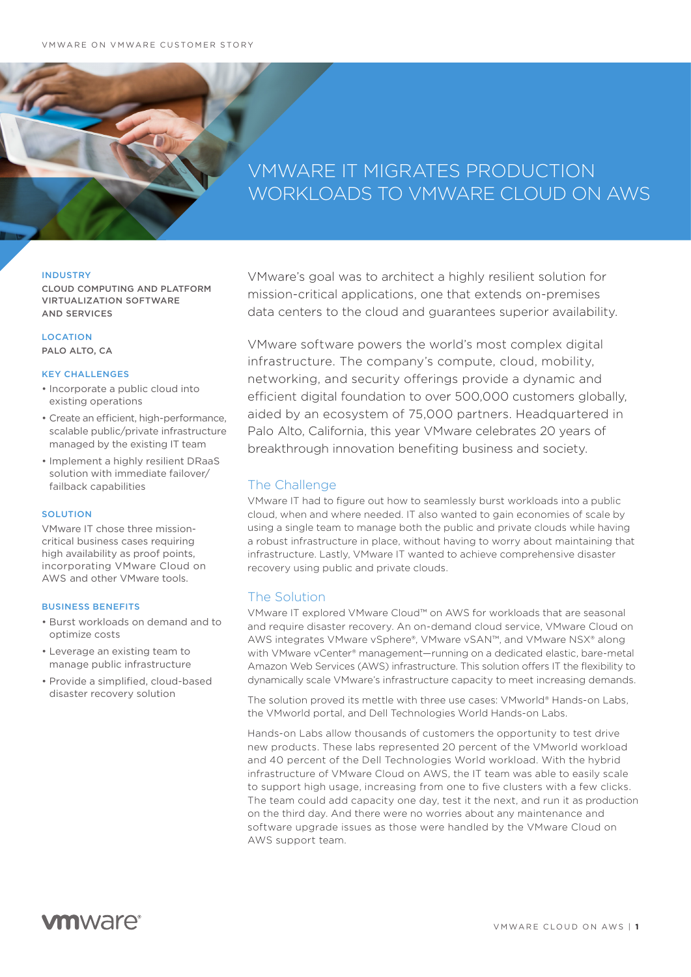# VMWARE IT MIGRATES PRODUCTION WORKLOADS TO VMWARE CLOUD ON AWS

### INDUSTRY

CLOUD COMPUTING AND PLATFORM VIRTUALIZATION SOFTWARE AND SERVICES

# LOCATION

PALO ALTO, CA

## KEY CHALLENGES

- Incorporate a public cloud into existing operations
- Create an efficient, high-performance, scalable public/private infrastructure managed by the existing IT team
- Implement a highly resilient DRaaS solution with immediate failover/ failback capabilities

## **SOLUTION**

VMware IT chose three missioncritical business cases requiring high availability as proof points. incorporating VMware Cloud on AWS and other VMware tools.

#### BUSINESS BENEFITS

- Burst workloads on demand and to optimize costs
- Leverage an existing team to manage public infrastructure
- Provide a simplified, cloud-based disaster recovery solution

VMware's goal was to architect a highly resilient solution for mission-critical applications, one that extends on-premises data centers to the cloud and guarantees superior availability.

VMware software powers the world's most complex digital infrastructure. The company's compute, cloud, mobility, networking, and security offerings provide a dynamic and efficient digital foundation to over 500,000 customers globally, aided by an ecosystem of 75,000 partners. Headquartered in Palo Alto, California, this year VMware celebrates 20 years of breakthrough innovation benefiting business and society.

# The Challenge

VMware IT had to figure out how to seamlessly burst workloads into a public cloud, when and where needed. IT also wanted to gain economies of scale by using a single team to manage both the public and private clouds while having a robust infrastructure in place, without having to worry about maintaining that infrastructure. Lastly, VMware IT wanted to achieve comprehensive disaster recovery using public and private clouds.

# The Solution

VMware IT explored VMware Cloud™ on AWS for workloads that are seasonal and require disaster recovery. An on-demand cloud service, VMware Cloud on AWS integrates VMware vSphere®, VMware vSAN™, and VMware NSX® along with VMware vCenter® management—running on a dedicated elastic, bare-metal Amazon Web Services (AWS) infrastructure. This solution offers IT the flexibility to dynamically scale VMware's infrastructure capacity to meet increasing demands.

The solution proved its mettle with three use cases: VMworld® Hands-on Labs, the VMworld portal, and Dell Technologies World Hands-on Labs.

Hands-on Labs allow thousands of customers the opportunity to test drive new products. These labs represented 20 percent of the VMworld workload and 40 percent of the Dell Technologies World workload. With the hybrid infrastructure of VMware Cloud on AWS, the IT team was able to easily scale to support high usage, increasing from one to five clusters with a few clicks. The team could add capacity one day, test it the next, and run it as production on the third day. And there were no worries about any maintenance and software upgrade issues as those were handled by the VMware Cloud on AWS support team.